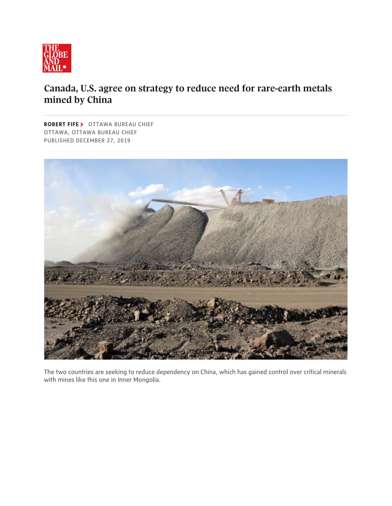

## Canada, U.S. agree on strategy to reduce need for rare-earth metals mined by China

ROBERT FIFE > OTTAWA BUREAU CHIEF OTTAWA, OTTAWA BUREAU CHIEF PUBLISHED DECEMBER 27, 2019



The two countries are seeking to reduce dependency on China, which has gained control over critical minerals with mines like this one in Inner Mongolia.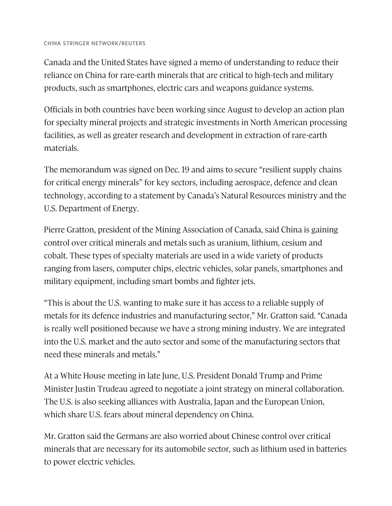Canada and the United States have signed a memo of understanding to reduce their reliance on China for rare-earth minerals that are critical to high-tech and military products, such as smartphones, electric cars and weapons guidance systems.

Officials in both countries have been working since August to develop an action plan for specialty mineral projects and strategic investments in North American processing facilities, as well as greater research and development in extraction of rare-earth materials.

The memorandum was signed on Dec. 19 and aims to secure "resilient supply chains for critical energy minerals" for key sectors, including aerospace, defence and clean technology, according to a statement by Canada's Natural Resources ministry and the U.S. Department of Energy.

Pierre Gratton, president of the Mining Association of Canada, said China is gaining control over critical minerals and metals such as uranium, lithium, cesium and cobalt. These types of specialty materials are used in a wide variety of products ranging from lasers, computer chips, electric vehicles, solar panels, smartphones and military equipment, including smart bombs and fighter jets.

"This is about the U.S. wanting to make sure it has access to a reliable supply of metals for its defence industries and manufacturing sector," Mr. Gratton said. "Canada is really well positioned because we have a strong mining industry. We are integrated into the U.S. market and the auto sector and some of the manufacturing sectors that need these minerals and metals."

At a White House meeting in late June, U.S. President Donald Trump and Prime Minister Justin Trudeau agreed to negotiate a joint strategy on mineral collaboration. The U.S. is also seeking alliances with Australia, Japan and the European Union, which share U.S. fears about mineral dependency on China.

Mr. Gratton said the Germans are also worried about Chinese control over critical minerals that are necessary for its automobile sector, such as lithium used in batteries to power electric vehicles.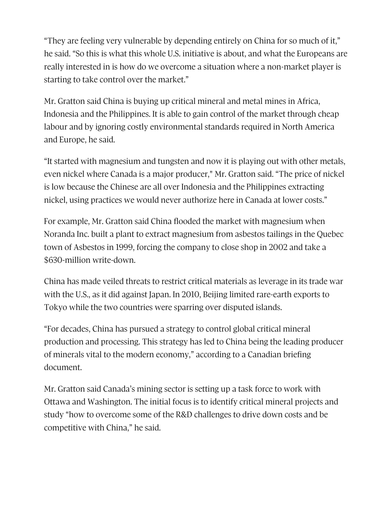"They are feeling very vulnerable by depending entirely on China for so much of it," he said. "So this is what this whole U.S. initiative is about, and what the Europeans are really interested in is how do we overcome a situation where a non-market player is starting to take control over the market."

Mr. Gratton said China is buying up critical mineral and metal mines in Africa, Indonesia and the Philippines. It is able to gain control of the market through cheap labour and by ignoring costly environmental standards required in North America and Europe, he said.

"It started with magnesium and tungsten and now it is playing out with other metals, even nickel where Canada is a major producer," Mr. Gratton said. "The price of nickel is low because the Chinese are all over Indonesia and the Philippines extracting nickel, using practices we would never authorize here in Canada at lower costs."

For example, Mr. Gratton said China flooded the market with magnesium when Noranda Inc. built a plant to extract magnesium from asbestos tailings in the Quebec town of Asbestos in 1999, forcing the company to close shop in 2002 and take a \$630-million write-down.

China has made veiled threats to restrict critical materials as leverage in its trade war with the U.S., as it did against Japan. In 2010, Beijing limited rare-earth exports to Tokyo while the two countries were sparring over disputed islands.

"For decades, China has pursued a strategy to control global critical mineral production and processing. This strategy has led to China being the leading producer of minerals vital to the modern economy," according to a Canadian briefing document.

Mr. Gratton said Canada's mining sector is setting up a task force to work with Ottawa and Washington. The initial focus is to identify critical mineral projects and study "how to overcome some of the R&D challenges to drive down costs and be competitive with China," he said.